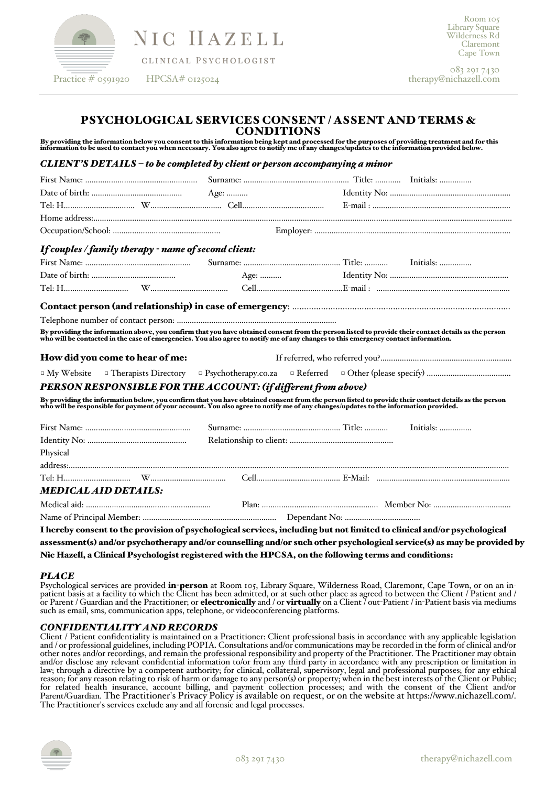

NIC HAZELL

CLINICAL PSYCHOLOGIST

083 291 7430 therapy@nichazell.com

# PSYCHOLOGICAL SERVICES CONSENT / ASSENT AND TERMS & CONDITIONS

By providing the information below you consent to this information being kept and processed for the purposes of providing treatment and for this<br>information to be used to contact you when necessary. You also agree to notif

## *CLIENT'S DETAILS – to be completed by client or person accompanying a minor*

| If couples / family therapy - name of second client:          |                                                                                                                                                                                                                                   |
|---------------------------------------------------------------|-----------------------------------------------------------------------------------------------------------------------------------------------------------------------------------------------------------------------------------|
|                                                               |                                                                                                                                                                                                                                   |
|                                                               |                                                                                                                                                                                                                                   |
|                                                               |                                                                                                                                                                                                                                   |
|                                                               |                                                                                                                                                                                                                                   |
|                                                               |                                                                                                                                                                                                                                   |
|                                                               | By providing the information above, you confirm that you have obtained consent from the person listed to provide their contact details as the person<br>who will be contacted in the case of emergencies. You also agree to notif |
| How did you come to hear of me:                               |                                                                                                                                                                                                                                   |
|                                                               |                                                                                                                                                                                                                                   |
| PERSON RESPONSIBLE FOR THE ACCOUNT: (if different from above) |                                                                                                                                                                                                                                   |
|                                                               | By providing the information below, you confirm that you have obtained consent from the person listed to provide their contact details as the person<br>who will be responsible for payment of your account. You also agree to no |
|                                                               |                                                                                                                                                                                                                                   |
|                                                               |                                                                                                                                                                                                                                   |
| Physical                                                      |                                                                                                                                                                                                                                   |
|                                                               |                                                                                                                                                                                                                                   |
|                                                               |                                                                                                                                                                                                                                   |
| <b>MEDICAL AID DETAILS:</b>                                   |                                                                                                                                                                                                                                   |
|                                                               |                                                                                                                                                                                                                                   |
|                                                               |                                                                                                                                                                                                                                   |
|                                                               | I hereby consent to the provision of psychological services, including but not limited to clinical and/or psychological                                                                                                           |
|                                                               | assessment(s) and/or psychotherapy and/or counselling and/or such other psychological service(s) as may be provided by                                                                                                            |
|                                                               |                                                                                                                                                                                                                                   |

Nic Hazell, a Clinical Psychologist registered with the HPCSA, on the following terms and conditions:

PLACE<br>Psychological services are provided **in-person** at Room 105, Library Square, Wilderness Road, Claremont, Cape Town, or on an inpatient basis at a facility to which the Client has been admitted, or at such other place as agreed to between the Client / Patient and / or Parent / Guardian and the Practitioner; or **electronically** and / or **virtually** such as email, sms, communication apps, telephone, or videoconferencing platforms.

# *CONFIDENTIALITY AND RECORDS*

Client / Patient confidentiality is maintained on a Practitioner: Client professional basis in accordance with any applicable legislation and / or professional guidelines, including POPIA. Consultations and/or communicatio law; through a directive by a competent authority; for clinical, collateral, supervisory, legal and professional purposes; for any ethical reason; for any reason relating to risk of harm or damage to any person(s) or property; when in the best interests of the Client or Public; for related health insurance, account billing, and payment collection processes; and with the consent of the Client and/or Parent/Guardian. The Practitioner's Privacy Policy is available on request, or on the website at https://www.nichazell.com/. The Practitioner's services exclude any and all forensic and legal processes.